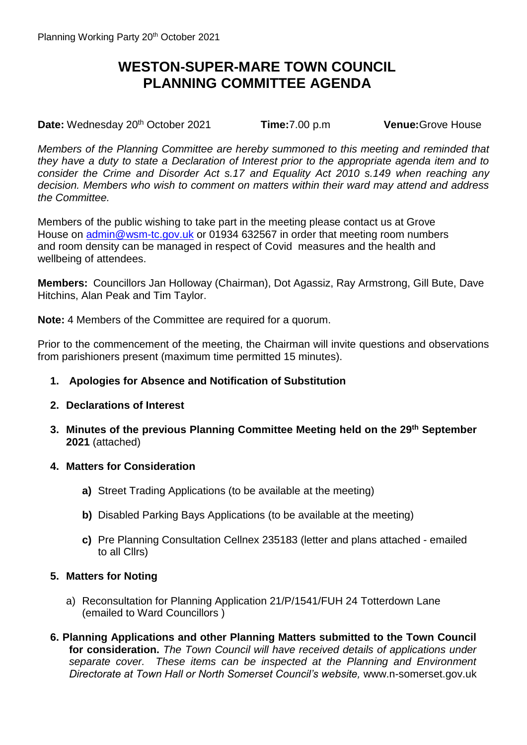## **WESTON-SUPER-MARE TOWN COUNCIL PLANNING COMMITTEE AGENDA**

**Date:** Wednesday 20<sup>th</sup> October 2021 **Time:**7.00 p.m **Venue:**Grove House

*Members of the Planning Committee are hereby summoned to this meeting and reminded that they have a duty to state a Declaration of Interest prior to the appropriate agenda item and to consider the Crime and Disorder Act s.17 and Equality Act 2010 s.149 when reaching any decision. Members who wish to comment on matters within their ward may attend and address the Committee.*

Members of the public wishing to take part in the meeting please contact us at Grove House on [admin@wsm-tc.gov.uk](mailto:admin@wsm-tc.gov.uk) or 01934 632567 in order that meeting room numbers and room density can be managed in respect of Covid measures and the health and wellbeing of attendees.

**Members:** Councillors Jan Holloway (Chairman), Dot Agassiz, Ray Armstrong, Gill Bute, Dave Hitchins, Alan Peak and Tim Taylor.

**Note:** 4 Members of the Committee are required for a quorum.

Prior to the commencement of the meeting, the Chairman will invite questions and observations from parishioners present (maximum time permitted 15 minutes).

- **1. Apologies for Absence and Notification of Substitution**
- **2. Declarations of Interest**
- **3. Minutes of the previous Planning Committee Meeting held on the 29th September 2021** (attached)
- **4. Matters for Consideration**
	- **a)** Street Trading Applications (to be available at the meeting)
	- **b)** Disabled Parking Bays Applications (to be available at the meeting)
	- **c)** Pre Planning Consultation Cellnex 235183 (letter and plans attached emailed to all Cllrs)

## **5. Matters for Noting**

- a) Reconsultation for Planning Application 21/P/1541/FUH 24 Totterdown Lane (emailed to Ward Councillors )
- **6. Planning Applications and other Planning Matters submitted to the Town Council for consideration.** *The Town Council will have received details of applications under separate cover. These items can be inspected at the Planning and Environment Directorate at Town Hall or North Somerset Council's website,* www.n-somerset.gov.uk